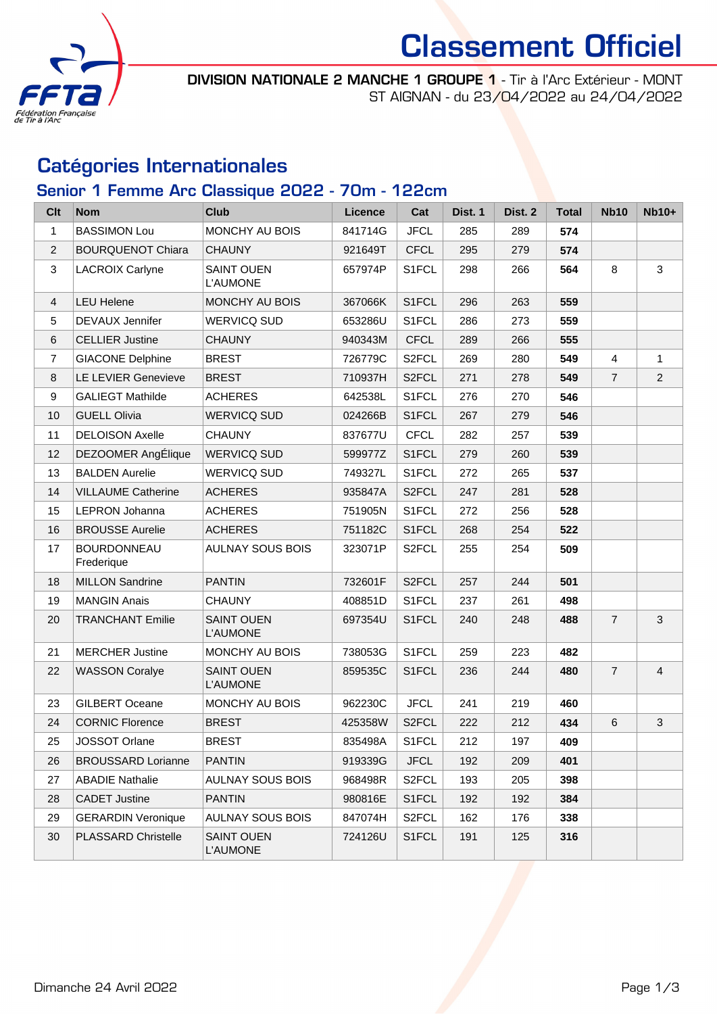

# Classement Officiel

DIVISION NATIONALE 2 MANCHE 1 GROUPE 1 - Tir à l'Arc Extérieur - MONT ST AIGNAN - du 23/04/2022 au 24/04/2022

### Catégories Internationales

### Senior 1 Femme Arc Classique 2022 - 70m - 122cm

| <b>Clt</b>       | <b>Nom</b>                       | <b>Club</b>                          | Licence | Cat                | Dist. 1 | Dist. 2 | <b>Total</b> | <b>Nb10</b>    | $Nb10+$        |
|------------------|----------------------------------|--------------------------------------|---------|--------------------|---------|---------|--------------|----------------|----------------|
| $\mathbf{1}$     | <b>BASSIMON Lou</b>              | MONCHY AU BOIS                       | 841714G | <b>JFCL</b>        | 285     | 289     | 574          |                |                |
| $\overline{2}$   | <b>BOURQUENOT Chiara</b>         | <b>CHAUNY</b>                        | 921649T | <b>CFCL</b>        | 295     | 279     | 574          |                |                |
| 3                | <b>LACROIX Carlyne</b>           | <b>SAINT OUEN</b><br>L'AUMONE        | 657974P | S1FCL              | 298     | 266     | 564          | 8              | 3              |
| 4                | <b>LEU Helene</b>                | MONCHY AU BOIS                       | 367066K | S1FCL              | 296     | 263     | 559          |                |                |
| 5                | DEVAUX Jennifer                  | <b>WERVICQ SUD</b>                   | 653286U | S1FCL              | 286     | 273     | 559          |                |                |
| 6                | <b>CELLIER Justine</b>           | <b>CHAUNY</b>                        | 940343M | <b>CFCL</b>        | 289     | 266     | 555          |                |                |
| $\overline{7}$   | <b>GIACONE Delphine</b>          | <b>BREST</b>                         | 726779C | S2FCL              | 269     | 280     | 549          | $\overline{4}$ | $\mathbf{1}$   |
| 8                | LE LEVIER Genevieve              | <b>BREST</b>                         | 710937H | S <sub>2</sub> FCL | 271     | 278     | 549          | $\overline{7}$ | $\overline{2}$ |
| $\boldsymbol{9}$ | <b>GALIEGT Mathilde</b>          | <b>ACHERES</b>                       | 642538L | S1FCL              | 276     | 270     | 546          |                |                |
| 10               | <b>GUELL Olivia</b>              | <b>WERVICQ SUD</b>                   | 024266B | S1FCL              | 267     | 279     | 546          |                |                |
| 11               | <b>DELOISON Axelle</b>           | <b>CHAUNY</b>                        | 837677U | <b>CFCL</b>        | 282     | 257     | 539          |                |                |
| 12               | DEZOOMER AngÉlique               | <b>WERVICQ SUD</b>                   | 599977Z | S1FCL              | 279     | 260     | 539          |                |                |
| 13               | <b>BALDEN Aurelie</b>            | <b>WERVICQ SUD</b>                   | 749327L | S1FCL              | 272     | 265     | 537          |                |                |
| 14               | <b>VILLAUME Catherine</b>        | <b>ACHERES</b>                       | 935847A | S2FCL              | 247     | 281     | 528          |                |                |
| 15               | LEPRON Johanna                   | <b>ACHERES</b>                       | 751905N | S1FCL              | 272     | 256     | 528          |                |                |
| 16               | <b>BROUSSE Aurelie</b>           | <b>ACHERES</b>                       | 751182C | S1FCL              | 268     | 254     | 522          |                |                |
| 17               | <b>BOURDONNEAU</b><br>Frederique | <b>AULNAY SOUS BOIS</b>              | 323071P | S <sub>2</sub> FCL | 255     | 254     | 509          |                |                |
| 18               | <b>MILLON Sandrine</b>           | <b>PANTIN</b>                        | 732601F | S2FCL              | 257     | 244     | 501          |                |                |
| 19               | <b>MANGIN Anais</b>              | <b>CHAUNY</b>                        | 408851D | S1FCL              | 237     | 261     | 498          |                |                |
| 20               | <b>TRANCHANT Emilie</b>          | <b>SAINT OUEN</b><br><b>L'AUMONE</b> | 697354U | S1FCL              | 240     | 248     | 488          | $\overline{7}$ | $\mathfrak{B}$ |
| 21               | <b>MERCHER Justine</b>           | MONCHY AU BOIS                       | 738053G | S1FCL              | 259     | 223     | 482          |                |                |
| 22               | <b>WASSON Coralye</b>            | <b>SAINT OUEN</b><br><b>L'AUMONE</b> | 859535C | S1FCL              | 236     | 244     | 480          | $\overline{7}$ | $\overline{4}$ |
| 23               | <b>GILBERT Oceane</b>            | MONCHY AU BOIS                       | 962230C | <b>JFCL</b>        | 241     | 219     | 460          |                |                |
| 24               | <b>CORNIC Florence</b>           | <b>BREST</b>                         | 425358W | S <sub>2</sub> FCL | 222     | 212     | 434          | 6              | 3              |
| 25               | JOSSOT Orlane                    | <b>BREST</b>                         | 835498A | S1FCL              | 212     | 197     | 409          |                |                |
| 26               | <b>BROUSSARD Lorianne</b>        | <b>PANTIN</b>                        | 919339G | <b>JFCL</b>        | 192     | 209     | 401          |                |                |
| 27               | <b>ABADIE Nathalie</b>           | <b>AULNAY SOUS BOIS</b>              | 968498R | S <sub>2</sub> FCL | 193     | 205     | 398          |                |                |
| 28               | <b>CADET Justine</b>             | <b>PANTIN</b>                        | 980816E | S1FCL              | 192     | 192     | 384          |                |                |
| 29               | <b>GERARDIN Veronique</b>        | <b>AULNAY SOUS BOIS</b>              | 847074H | S <sub>2</sub> FCL | 162     | 176     | 338          |                |                |
| 30               | PLASSARD Christelle              | <b>SAINT OUEN</b><br><b>L'AUMONE</b> | 724126U | S1FCL              | 191     | 125     | 316          |                |                |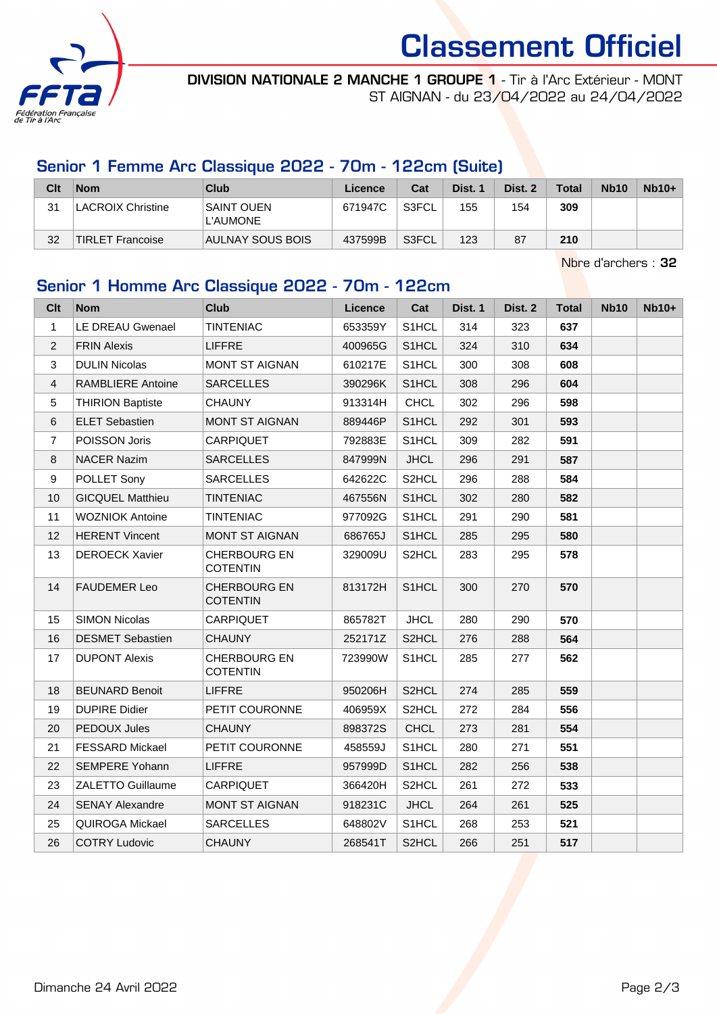

# Classement Officiel

DIVISION NATIONALE 2 MANCHE 1 GROUPE 1 - Tir à l'Arc Extérieur - MONT ST AIGNAN - du 23/04/2022 au 24/04/2022

#### Senior 1 Femme Arc Classique 2022 - 70m - 122cm (Suite)

| Clt | <b>Nom</b>               | Club                          | Licence | Cat   | Dist. 1 | Dist. 2 | <b>Total</b> | <b>Nb10</b> | $Nb10+$ |
|-----|--------------------------|-------------------------------|---------|-------|---------|---------|--------------|-------------|---------|
| 31  | <b>LACROIX Christine</b> | <b>SAINT OUEN</b><br>L'AUMONE | 671947C | S3FCL | 155     | 154     | 309          |             |         |
| 32  | <b>TIRLET Francoise</b>  | AULNAY SOUS BOIS              | 437599B | S3FCL | 123     | 87      | 210          |             |         |

Nbre d'archers : 32

### Senior 1 Homme Arc Classique 2022 - 70m - 122cm

| Clt            | <b>Nom</b>               | <b>Club</b>                            | Licence | Cat                | Dist. 1 | Dist. 2 | <b>Total</b> | <b>Nb10</b> | $Nb10+$ |
|----------------|--------------------------|----------------------------------------|---------|--------------------|---------|---------|--------------|-------------|---------|
| $\mathbf{1}$   | LE DREAU Gwenael         | <b>TINTENIAC</b>                       | 653359Y | S1HCL              | 314     | 323     | 637          |             |         |
| $\overline{c}$ | <b>FRIN Alexis</b>       | <b>LIFFRE</b>                          | 400965G | S1HCL              | 324     | 310     | 634          |             |         |
| 3              | <b>DULIN Nicolas</b>     | <b>MONT ST AIGNAN</b>                  | 610217E | S1HCL              | 300     | 308     | 608          |             |         |
| $\overline{4}$ | <b>RAMBLIERE Antoine</b> | <b>SARCELLES</b>                       | 390296K | S1HCL              | 308     | 296     | 604          |             |         |
| 5              | <b>THIRION Baptiste</b>  | <b>CHAUNY</b>                          | 913314H | <b>CHCL</b>        | 302     | 296     | 598          |             |         |
| 6              | <b>ELET Sebastien</b>    | <b>MONT ST AIGNAN</b>                  | 889446P | S1HCL              | 292     | 301     | 593          |             |         |
| $\overline{7}$ | POISSON Joris            | <b>CARPIQUET</b>                       | 792883E | S1HCL              | 309     | 282     | 591          |             |         |
| 8              | <b>NACER Nazim</b>       | <b>SARCELLES</b>                       | 847999N | <b>JHCL</b>        | 296     | 291     | 587          |             |         |
| 9              | POLLET Sony              | <b>SARCELLES</b>                       | 642622C | S <sub>2</sub> HCL | 296     | 288     | 584          |             |         |
| 10             | <b>GICQUEL Matthieu</b>  | <b>TINTENIAC</b>                       | 467556N | S1HCL              | 302     | 280     | 582          |             |         |
| 11             | <b>WOZNIOK Antoine</b>   | <b>TINTENIAC</b>                       | 977092G | S1HCL              | 291     | 290     | 581          |             |         |
| 12             | <b>HERENT Vincent</b>    | <b>MONT ST AIGNAN</b>                  | 686765J | S1HCL              | 285     | 295     | 580          |             |         |
| 13             | <b>DEROECK Xavier</b>    | <b>CHERBOURG EN</b><br><b>COTENTIN</b> | 329009U | S2HCL              | 283     | 295     | 578          |             |         |
| 14             | <b>FAUDEMER Leo</b>      | <b>CHERBOURG EN</b><br><b>COTENTIN</b> | 813172H | S1HCL              | 300     | 270     | 570          |             |         |
| 15             | <b>SIMON Nicolas</b>     | <b>CARPIQUET</b>                       | 865782T | <b>JHCL</b>        | 280     | 290     | 570          |             |         |
| 16             | <b>DESMET Sebastien</b>  | <b>CHAUNY</b>                          | 252171Z | S <sub>2</sub> HCL | 276     | 288     | 564          |             |         |
| 17             | <b>DUPONT Alexis</b>     | <b>CHERBOURG EN</b><br><b>COTENTIN</b> | 723990W | S1HCL              | 285     | 277     | 562          |             |         |
| 18             | <b>BEUNARD Benoit</b>    | <b>LIFFRE</b>                          | 950206H | S2HCL              | 274     | 285     | 559          |             |         |
| 19             | <b>DUPIRE Didier</b>     | PETIT COURONNE                         | 406959X | S2HCL              | 272     | 284     | 556          |             |         |
| 20             | PEDOUX Jules             | <b>CHAUNY</b>                          | 898372S | <b>CHCL</b>        | 273     | 281     | 554          |             |         |
| 21             | <b>FESSARD Mickael</b>   | PETIT COURONNE                         | 458559J | S1HCL              | 280     | 271     | 551          |             |         |
| 22             | <b>SEMPERE Yohann</b>    | <b>LIFFRE</b>                          | 957999D | S1HCL              | 282     | 256     | 538          |             |         |
| 23             | <b>ZALETTO Guillaume</b> | CARPIQUET                              | 366420H | S2HCL              | 261     | 272     | 533          |             |         |
| 24             | <b>SENAY Alexandre</b>   | <b>MONT ST AIGNAN</b>                  | 918231C | <b>JHCL</b>        | 264     | 261     | 525          |             |         |
| 25             | <b>QUIROGA Mickael</b>   | <b>SARCELLES</b>                       | 648802V | S1HCL              | 268     | 253     | 521          |             |         |
| 26             | <b>COTRY Ludovic</b>     | <b>CHAUNY</b>                          | 268541T | S2HCL              | 266     | 251     | 517          |             |         |